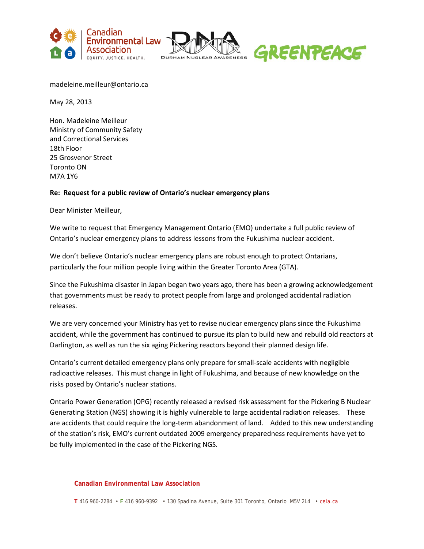





madeleine.meilleur@ontario.ca

May 28, 2013

Hon. Madeleine Meilleur Ministry of Community Safety and Correctional Services 18th Floor 25 Grosvenor Street Toronto ON M7A 1Y6

## **Re: Request for a public review of Ontario's nuclear emergency plans**

Dear Minister Meilleur,

We write to request that Emergency Management Ontario (EMO) undertake a full public review of Ontario's nuclear emergency plans to address lessons from the Fukushima nuclear accident.

We don't believe Ontario's nuclear emergency plans are robust enough to protect Ontarians, particularly the four million people living within the Greater Toronto Area (GTA).

Since the Fukushima disaster in Japan began two years ago, there has been a growing acknowledgement that governments must be ready to protect people from large and prolonged accidental radiation releases.

We are very concerned your Ministry has yet to revise nuclear emergency plans since the Fukushima accident, while the government has continued to pursue its plan to build new and rebuild old reactors at Darlington, as well as run the six aging Pickering reactors beyond their planned design life.

Ontario's current detailed emergency plans only prepare for small-scale accidents with negligible radioactive releases. This must change in light of Fukushima, and because of new knowledge on the risks posed by Ontario's nuclear stations.

Ontario Power Generation (OPG) recently released a revised risk assessment for the Pickering B Nuclear Generating Station (NGS) showing it is highly vulnerable to large accidental radiation releases. These are accidents that could require the long-term abandonment of land. Added to this new understanding of the station's risk, EMO's current outdated 2009 emergency preparedness requirements have yet to be fully implemented in the case of the Pickering NGS.

## **Canadian Environmental Law Association**